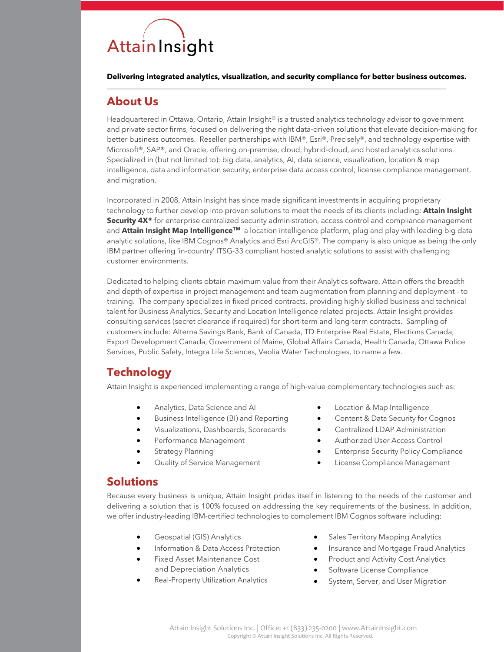# Attain Insight

**Delivering integrated analytics, visualization, and security compliance for better business outcomes.**

#### **About Us**

Headquartered in Ottawa, Ontario, Attain Insight® is a trusted analytics technology advisor to government and private sector firms, focused on delivering the right data-driven solutions that elevate decision-making for better business outcomes. Reseller partnerships with IBM®, Esri®, Precisely®, and technology expertise with Microsoft®, SAP®, and Oracle, offering on-premise, cloud, hybrid-cloud, and hosted analytics solutions. Specialized in (but not limited to): big data, analytics, AI, data science, visualization, location & map intelligence, data and information security, enterprise data access control, license compliance management, and migration.

Incorporated in 2008, Attain Insight has since made significant investments in acquiring proprietary technology to further develop into proven solutions to meet the needs of its clients including: **Attain Insight Security 4X®** for enterprise centralized security administration, access control and compliance management and **Attain Insight Map Intelligence™** a location intelligence platform, plug and play with leading big data analytic solutions, like IBM Cognos® Analytics and Esri ArcGIS®. The company is also unique as being the only IBM partner offering 'in-country' ITSG-33 compliant hosted analytic solutions to assist with challenging customer environments.

Dedicated to helping clients obtain maximum value from their Analytics software, Attain offers the breadth and depth of expertise in project management and team augmentation from planning and deployment - to training. The company specializes in fixed priced contracts, providing highly skilled business and technical talent for Business Analytics, Security and Location Intelligence related projects. Attain Insight provides consulting services (secret clearance if required) for short-term and long-term contracts. Sampling of customers include: Alterna Savings Bank, Bank of Canada, TD Enterprise Real Estate, Elections Canada, Export Development Canada, Government of Maine, Global Affairs Canada, Health Canada, Ottawa Police Services, Public Safety, Integra Life Sciences, Veolia Water Technologies, to name a few.

## **Technology**

Attain Insight is experienced implementing a range of high-value complementary technologies such as:

- Analytics, Data Science and AI
- Business Intelligence (BI) and Reporting
- Visualizations, Dashboards, Scorecards
- Performance Management
- Strategy Planning
- Quality of Service Management
- Location & Map Intelligence
- Content & Data Security for Cognos
- Centralized LDAP Administration
- Authorized User Access Control
- Enterprise Security Policy Compliance
- License Compliance Management

#### **Solutions**

Because every business is unique, Attain Insight prides itself in listening to the needs of the customer and delivering a solution that is 100% focused on addressing the key requirements of the business. In addition, we offer industry-leading IBM-certified technologies to complement IBM Cognos software including:

- Geospatial (GIS) Analytics
- Information & Data Access Protection
- Fixed Asset Maintenance Cost and Depreciation Analytics
- Real-Property Utilization Analytics
- Sales Territory Mapping Analytics
- Insurance and Mortgage Fraud Analytics
- Product and Activity Cost Analytics
- Software License Compliance
- System, Server, and User Migration